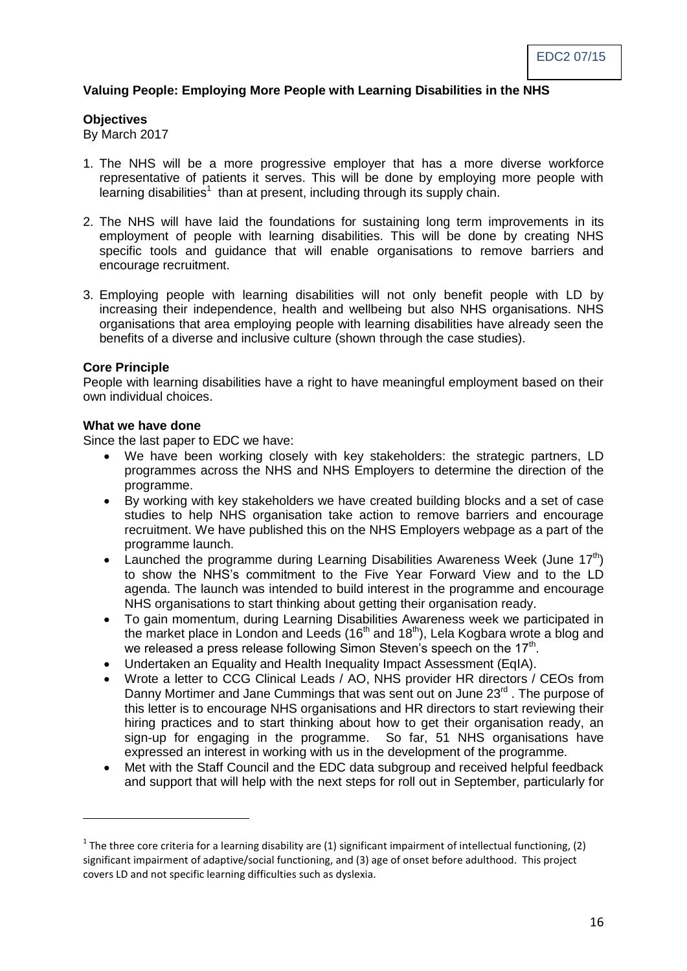# **Valuing People: Employing More People with Learning Disabilities in the NHS**

#### **Objectives**

By March 2017

- 1. The NHS will be a more progressive employer that has a more diverse workforce representative of patients it serves. This will be done by employing more people with learning disabilities<sup>1</sup> than at present, including through its supply chain.
- 2. The NHS will have laid the foundations for sustaining long term improvements in its employment of people with learning disabilities. This will be done by creating NHS specific tools and guidance that will enable organisations to remove barriers and encourage recruitment.
- 3. Employing people with learning disabilities will not only benefit people with LD by increasing their independence, health and wellbeing but also NHS organisations. NHS organisations that area employing people with learning disabilities have already seen the benefits of a diverse and inclusive culture (shown through the case studies).

#### **Core Principle**

1

People with learning disabilities have a right to have meaningful employment based on their own individual choices.

# **What we have done**

Since the last paper to EDC we have:

- We have been working closely with key stakeholders: the strategic partners, LD programmes across the NHS and NHS Employers to determine the direction of the programme.
- By working with key stakeholders we have created building blocks and a set of case studies to help NHS organisation take action to remove barriers and encourage recruitment. We have published this on the NHS Employers webpage as a part of the programme launch.
- Launched the programme during Learning Disabilities Awareness Week (June  $17<sup>th</sup>$ ) to show the NHS's commitment to the Five Year Forward View and to the LD agenda. The launch was intended to build interest in the programme and encourage NHS organisations to start thinking about getting their organisation ready.
- To gain momentum, during Learning Disabilities Awareness week we participated in the market place in London and Leeds (16<sup>th</sup> and 18<sup>th</sup>), Lela Kogbara wrote a blog and we released a press release following Simon Steven's speech on the 17<sup>th</sup>.
- Undertaken an Equality and Health Inequality Impact Assessment (EqIA).
- Wrote a letter to CCG Clinical Leads / AO, NHS provider HR directors / CEOs from Danny Mortimer and Jane Cummings that was sent out on June 23<sup>rd</sup>. The purpose of this letter is to encourage NHS organisations and HR directors to start reviewing their hiring practices and to start thinking about how to get their organisation ready, an sign-up for engaging in the programme. So far, 51 NHS organisations have expressed an interest in working with us in the development of the programme.
- Met with the Staff Council and the EDC data subgroup and received helpful feedback and support that will help with the next steps for roll out in September, particularly for

<sup>&</sup>lt;sup>1</sup> The three core criteria for a learning disability are (1) significant impairment of intellectual functioning, (2) significant impairment of adaptive/social functioning, and (3) age of onset before adulthood. This project covers LD and not specific learning difficulties such as dyslexia.